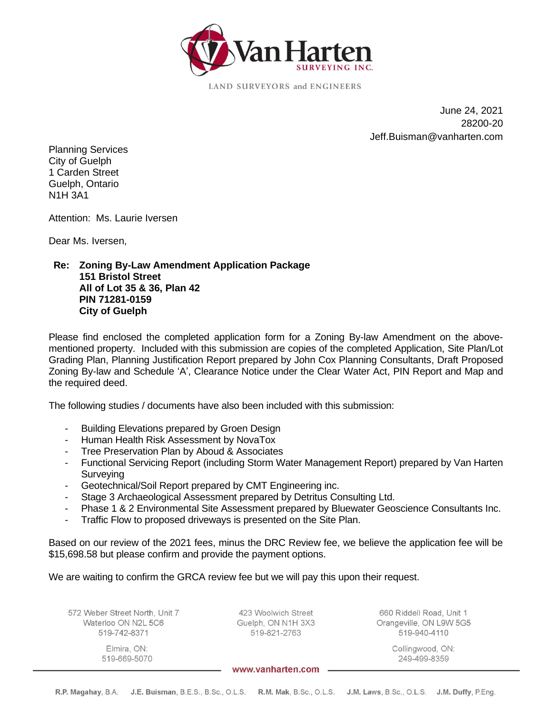

**LAND SURVEYORS and ENGINEERS** 

June 24, 2021 28200-20 Jeff.Buisman@vanharten.com

Planning Services City of Guelph 1 Carden Street Guelph, Ontario N1H 3A1

Attention: Ms. Laurie Iversen

Dear Ms. Iversen,

## **Re: Zoning By-Law Amendment Application Package 151 Bristol Street All of Lot 35 & 36, Plan 42 PIN 71281-0159 City of Guelph**

Please find enclosed the completed application form for a Zoning By-law Amendment on the abovementioned property. Included with this submission are copies of the completed Application, Site Plan/Lot Grading Plan, Planning Justification Report prepared by John Cox Planning Consultants, Draft Proposed Zoning By-law and Schedule 'A', Clearance Notice under the Clear Water Act, PIN Report and Map and the required deed.

The following studies / documents have also been included with this submission:

- Building Elevations prepared by Groen Design
- Human Health Risk Assessment by NovaTox
- Tree Preservation Plan by Aboud & Associates
- Functional Servicing Report (including Storm Water Management Report) prepared by Van Harten **Surveying**
- Geotechnical/Soil Report prepared by CMT Engineering inc.
- Stage 3 Archaeological Assessment prepared by Detritus Consulting Ltd.
- Phase 1 & 2 Environmental Site Assessment prepared by Bluewater Geoscience Consultants Inc.
- Traffic Flow to proposed driveways is presented on the Site Plan.

Based on our review of the 2021 fees, minus the DRC Review fee, we believe the application fee will be \$15,698.58 but please confirm and provide the payment options.

We are waiting to confirm the GRCA review fee but we will pay this upon their request.

572 Weber Street North, Unit 7 Waterloo ON N2L 5C6 519-742-8371

> Elmira, ON: 519-669-5070

423 Woolwich Street Guelph, ON N1H 3X3 519-821-2763

660 Riddell Road, Unit 1 Orangeville, ON L9W 5G5 519-940-4110

> Collingwood, ON: 249-499-8359

www.vanharten.com